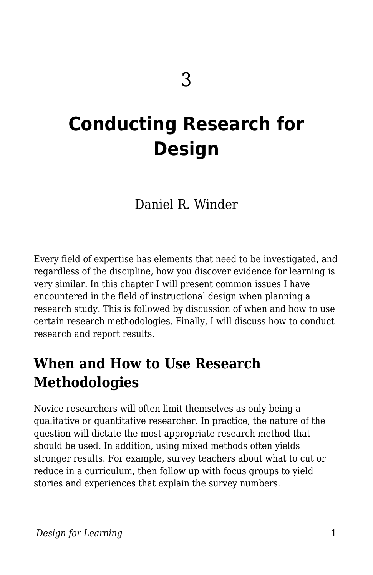# **Conducting Research for Design**

Daniel R. Winder

Every field of expertise has elements that need to be investigated, and regardless of the discipline, how you discover evidence for learning is very similar. In this chapter I will present common issues I have encountered in the field of instructional design when planning a research study. This is followed by discussion of when and how to use certain research methodologies. Finally, I will discuss how to conduct research and report results.

## **When and How to Use Research Methodologies**

Novice researchers will often limit themselves as only being a qualitative or quantitative researcher. In practice, the nature of the question will dictate the most appropriate research method that should be used. In addition, using mixed methods often yields stronger results. For example, survey teachers about what to cut or reduce in a curriculum, then follow up with focus groups to yield stories and experiences that explain the survey numbers.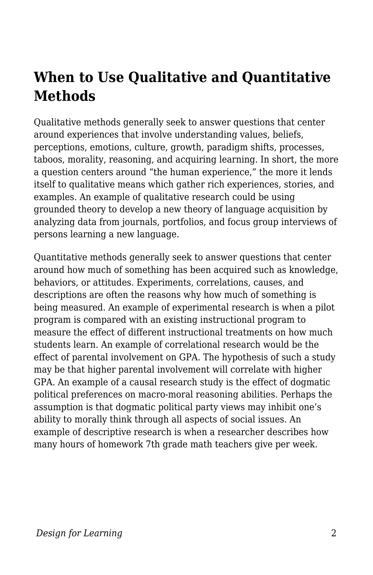## **When to Use Qualitative and Quantitative Methods**

Qualitative methods generally seek to answer questions that center around experiences that involve understanding values, beliefs, perceptions, emotions, culture, growth, paradigm shifts, processes, taboos, morality, reasoning, and acquiring learning. In short, the more a question centers around "the human experience," the more it lends itself to qualitative means which gather rich experiences, stories, and examples. An example of qualitative research could be using grounded theory to develop a new theory of language acquisition by analyzing data from journals, portfolios, and focus group interviews of persons learning a new language.

Quantitative methods generally seek to answer questions that center around how much of something has been acquired such as knowledge, behaviors, or attitudes. Experiments, correlations, causes, and descriptions are often the reasons why how much of something is being measured. An example of experimental research is when a pilot program is compared with an existing instructional program to measure the effect of different instructional treatments on how much students learn. An example of correlational research would be the effect of parental involvement on GPA. The hypothesis of such a study may be that higher parental involvement will correlate with higher GPA. An example of a causal research study is the effect of dogmatic political preferences on macro-moral reasoning abilities. Perhaps the assumption is that dogmatic political party views may inhibit one's ability to morally think through all aspects of social issues. An example of descriptive research is when a researcher describes how many hours of homework 7th grade math teachers give per week.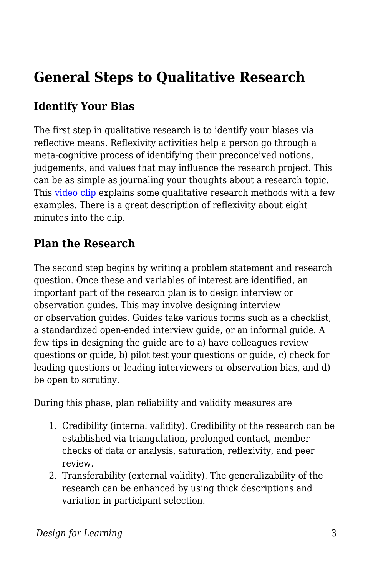## **General Steps to Qualitative Research**

## **Identify Your Bias**

The first step in qualitative research is to identify your biases via reflective means. Reflexivity activities help a person go through a meta-cognitive process of identifying their preconceived notions, judgements, and values that may influence the research project. This can be as simple as journaling your thoughts about a research topic. This [video clip](https://www.youtube.com/watch?v=3aYRlNrO6oA&feature=youtu.be&t=81) explains some qualitative research methods with a few examples. There is a great description of reflexivity about eight minutes into the clip.

### **Plan the Research**

The second step begins by writing a problem statement and research question. Once these and variables of interest are identified, an important part of the research plan is to design interview or observation guides. This may involve designing interview or observation guides. Guides take various forms such as a checklist, a standardized open-ended interview guide, or an informal guide. A few tips in designing the guide are to a) have colleagues review questions or guide, b) pilot test your questions or guide, c) check for leading questions or leading interviewers or observation bias, and d) be open to scrutiny.

During this phase, plan reliability and validity measures are

- 1. Credibility (internal validity). Credibility of the research can be established via triangulation, prolonged contact, member checks of data or analysis, saturation, reflexivity, and peer review.
- 2. Transferability (external validity). The generalizability of the research can be enhanced by using thick descriptions and variation in participant selection.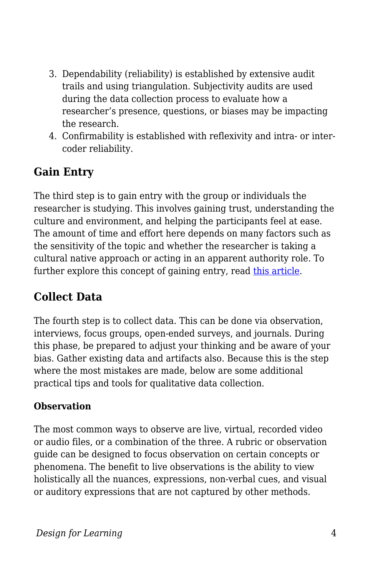- 3. Dependability (reliability) is established by extensive audit trails and using triangulation. Subjectivity audits are used during the data collection process to evaluate how a researcher's presence, questions, or biases may be impacting the research.
- 4. Confirmability is established with reflexivity and intra- or intercoder reliability.

## **Gain Entry**

The third step is to gain entry with the group or individuals the researcher is studying. This involves gaining trust, understanding the culture and environment, and helping the participants feel at ease. The amount of time and effort here depends on many factors such as the sensitivity of the topic and whether the researcher is taking a cultural native approach or acting in an apparent authority role. To further explore this concept of gaining entry, read [this article](https://www.researchgate.net/publication/266879621_Strategies_for_gaining_access_to_organisations_and_informants_in_qualitative_studies).

### **Collect Data**

The fourth step is to collect data. This can be done via observation, interviews, focus groups, open-ended surveys, and journals. During this phase, be prepared to adjust your thinking and be aware of your bias. Gather existing data and artifacts also. Because this is the step where the most mistakes are made, below are some additional practical tips and tools for qualitative data collection.

#### **Observation**

The most common ways to observe are live, virtual, recorded video or audio files, or a combination of the three. A rubric or observation guide can be designed to focus observation on certain concepts or phenomena. The benefit to live observations is the ability to view holistically all the nuances, expressions, non-verbal cues, and visual or auditory expressions that are not captured by other methods.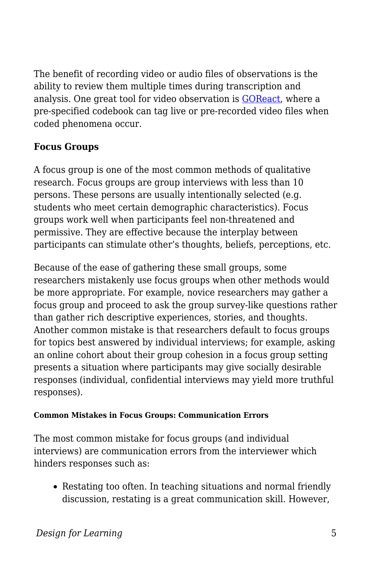The benefit of recording video or audio files of observations is the ability to review them multiple times during transcription and analysis. One great tool for video observation is [GOReact,](https://get.goreact.com/) where a pre-specified codebook can tag live or pre-recorded video files when coded phenomena occur.

#### **Focus Groups**

A focus group is one of the most common methods of qualitative research. Focus groups are group interviews with less than 10 persons. These persons are usually intentionally selected (e.g. students who meet certain demographic characteristics). Focus groups work well when participants feel non-threatened and permissive. They are effective because the interplay between participants can stimulate other's thoughts, beliefs, perceptions, etc.

Because of the ease of gathering these small groups, some researchers mistakenly use focus groups when other methods would be more appropriate. For example, novice researchers may gather a focus group and proceed to ask the group survey-like questions rather than gather rich descriptive experiences, stories, and thoughts. Another common mistake is that researchers default to focus groups for topics best answered by individual interviews; for example, asking an online cohort about their group cohesion in a focus group setting presents a situation where participants may give socially desirable responses (individual, confidential interviews may yield more truthful responses).

#### **Common Mistakes in Focus Groups: Communication Errors**

The most common mistake for focus groups (and individual interviews) are communication errors from the interviewer which hinders responses such as:

Restating too often. In teaching situations and normal friendly discussion, restating is a great communication skill. However,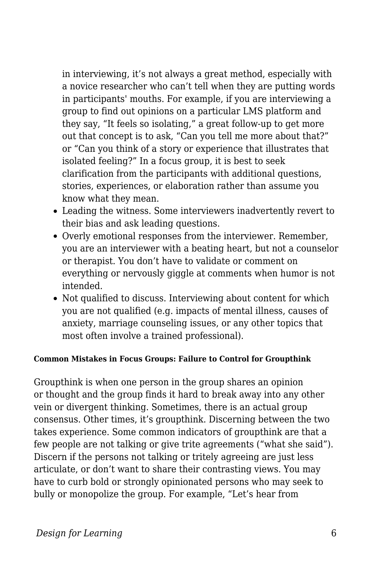in interviewing, it's not always a great method, especially with a novice researcher who can't tell when they are putting words in participants' mouths. For example, if you are interviewing a group to find out opinions on a particular LMS platform and they say, "It feels so isolating," a great follow-up to get more out that concept is to ask, "Can you tell me more about that?" or "Can you think of a story or experience that illustrates that isolated feeling?" In a focus group, it is best to seek clarification from the participants with additional questions, stories, experiences, or elaboration rather than assume you know what they mean.

- Leading the witness. Some interviewers inadvertently revert to their bias and ask leading questions.
- Overly emotional responses from the interviewer. Remember, you are an interviewer with a beating heart, but not a counselor or therapist. You don't have to validate or comment on everything or nervously giggle at comments when humor is not intended.
- Not qualified to discuss. Interviewing about content for which you are not qualified (e.g. impacts of mental illness, causes of anxiety, marriage counseling issues, or any other topics that most often involve a trained professional).

#### **Common Mistakes in Focus Groups: Failure to Control for Groupthink**

Groupthink is when one person in the group shares an opinion or thought and the group finds it hard to break away into any other vein or divergent thinking. Sometimes, there is an actual group consensus. Other times, it's groupthink. Discerning between the two takes experience. Some common indicators of groupthink are that a few people are not talking or give trite agreements ("what she said"). Discern if the persons not talking or tritely agreeing are just less articulate, or don't want to share their contrasting views. You may have to curb bold or strongly opinionated persons who may seek to bully or monopolize the group. For example, "Let's hear from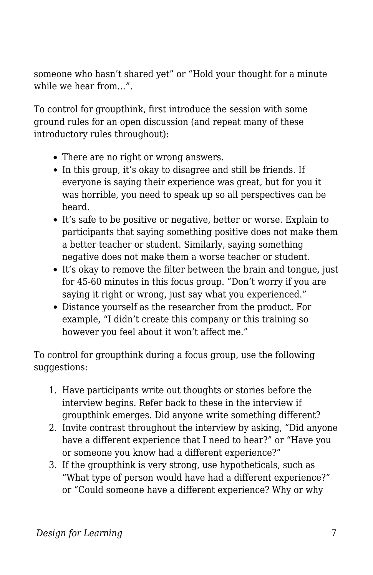someone who hasn't shared yet" or "Hold your thought for a minute while we hear from…".

To control for groupthink, first introduce the session with some ground rules for an open discussion (and repeat many of these introductory rules throughout):

- There are no right or wrong answers.
- In this group, it's okay to disagree and still be friends. If everyone is saying their experience was great, but for you it was horrible, you need to speak up so all perspectives can be heard.
- It's safe to be positive or negative, better or worse. Explain to participants that saying something positive does not make them a better teacher or student. Similarly, saying something negative does not make them a worse teacher or student.
- It's okay to remove the filter between the brain and tongue, just for 45-60 minutes in this focus group. "Don't worry if you are saying it right or wrong, just say what you experienced."
- Distance yourself as the researcher from the product. For example, "I didn't create this company or this training so however you feel about it won't affect me."

To control for groupthink during a focus group, use the following suggestions:

- 1. Have participants write out thoughts or stories before the interview begins. Refer back to these in the interview if groupthink emerges. Did anyone write something different?
- 2. Invite contrast throughout the interview by asking, "Did anyone have a different experience that I need to hear?" or "Have you or someone you know had a different experience?"
- 3. If the groupthink is very strong, use hypotheticals, such as "What type of person would have had a different experience?" or "Could someone have a different experience? Why or why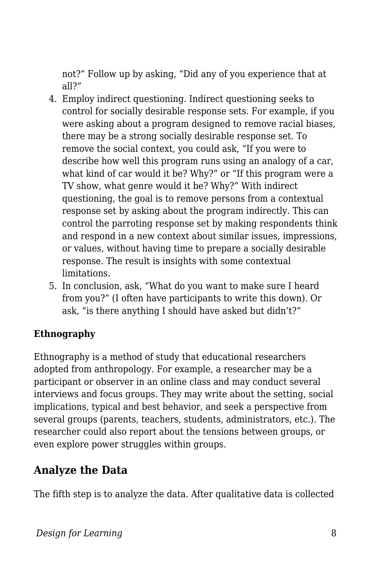not?" Follow up by asking, "Did any of you experience that at all?"

- 4. Employ indirect questioning. Indirect questioning seeks to control for socially desirable response sets. For example, if you were asking about a program designed to remove racial biases, there may be a strong socially desirable response set. To remove the social context, you could ask, "If you were to describe how well this program runs using an analogy of a car, what kind of car would it be? Why?" or "If this program were a TV show, what genre would it be? Why?" With indirect questioning, the goal is to remove persons from a contextual response set by asking about the program indirectly. This can control the parroting response set by making respondents think and respond in a new context about similar issues, impressions, or values, without having time to prepare a socially desirable response. The result is insights with some contextual limitations.
- 5. In conclusion, ask, "What do you want to make sure I heard from you?" (I often have participants to write this down). Or ask, "is there anything I should have asked but didn't?"

#### **Ethnography**

Ethnography is a method of study that educational researchers adopted from anthropology. For example, a researcher may be a participant or observer in an online class and may conduct several interviews and focus groups. They may write about the setting, social implications, typical and best behavior, and seek a perspective from several groups (parents, teachers, students, administrators, etc.). The researcher could also report about the tensions between groups, or even explore power struggles within groups.

### **Analyze the Data**

The fifth step is to analyze the data. After qualitative data is collected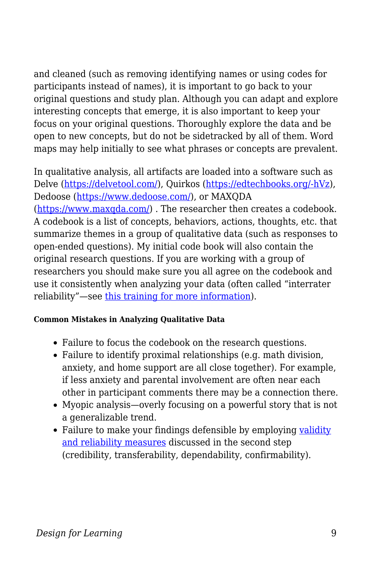and cleaned (such as removing identifying names or using codes for participants instead of names), it is important to go back to your original questions and study plan. Although you can adapt and explore interesting concepts that emerge, it is also important to keep your focus on your original questions. Thoroughly explore the data and be open to new concepts, but do not be sidetracked by all of them. Word maps may help initially to see what phrases or concepts are prevalent.

In qualitative analysis, all artifacts are loaded into a software such as Delve [\(https://delvetool.com/](https://delvetool.com/)), Quirkos ([https://edtechbooks.org/-hVz](https://www.quirkos.com/index.html)), Dedoose [\(https://www.dedoose.com/](https://www.dedoose.com/)), or MAXQDA ([https://www.maxqda.com/\)](https://www.maxqda.com/) . The researcher then creates a codebook. A codebook is a list of concepts, behaviors, actions, thoughts, etc. that summarize themes in a group of qualitative data (such as responses to open-ended questions). My initial code book will also contain the original research questions. If you are working with a group of researchers you should make sure you all agree on the codebook and use it consistently when analyzing your data (often called "interrater reliability"—see [this training for more information](https://slideplayer.com/slide/4337331/)).

#### **Common Mistakes in Analyzing Qualitative Data**

- Failure to focus the codebook on the research questions.
- Failure to identify proximal relationships (e.g. math division, anxiety, and home support are all close together). For example, if less anxiety and parental involvement are often near each other in participant comments there may be a connection there.
- Myopic analysis—overly focusing on a powerful story that is not a generalizable trend.
- Failure to make your findings defensible by employing [validity](https://www.dissertationrecipes.com/reliability-validity-qualitative-studies/#:~:text=In%20qualitative%20research%2C%20validity%E2%80%93or,and%20results%20of%20the%20study) [and reliability measures](https://www.dissertationrecipes.com/reliability-validity-qualitative-studies/#:~:text=In%20qualitative%20research%2C%20validity%E2%80%93or,and%20results%20of%20the%20study) discussed in the second step (credibility, transferability, dependability, confirmability).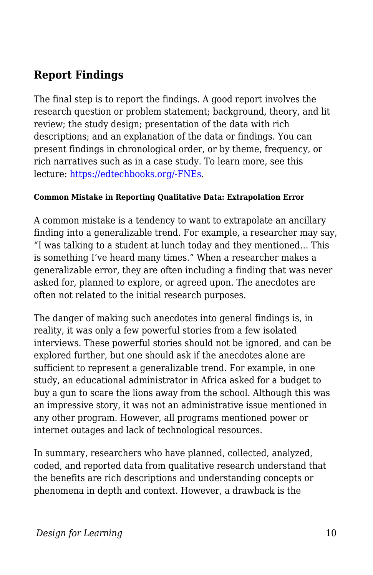## **Report Findings**

The final step is to report the findings. A good report involves the research question or problem statement; background, theory, and lit review; the study design; presentation of the data with rich descriptions; and an explanation of the data or findings. You can present findings in chronological order, or by theme, frequency, or rich narratives such as in a case study. To learn more, see this lecture: [https://edtechbooks.org/-FNEs.](https://www.youtube.com/watch?v=lFj2ucSP2jc)

#### **Common Mistake in Reporting Qualitative Data: Extrapolation Error**

A common mistake is a tendency to want to extrapolate an ancillary finding into a generalizable trend. For example, a researcher may say, "I was talking to a student at lunch today and they mentioned… This is something I've heard many times." When a researcher makes a generalizable error, they are often including a finding that was never asked for, planned to explore, or agreed upon. The anecdotes are often not related to the initial research purposes.

The danger of making such anecdotes into general findings is, in reality, it was only a few powerful stories from a few isolated interviews. These powerful stories should not be ignored, and can be explored further, but one should ask if the anecdotes alone are sufficient to represent a generalizable trend. For example, in one study, an educational administrator in Africa asked for a budget to buy a gun to scare the lions away from the school. Although this was an impressive story, it was not an administrative issue mentioned in any other program. However, all programs mentioned power or internet outages and lack of technological resources.

In summary, researchers who have planned, collected, analyzed, coded, and reported data from qualitative research understand that the benefits are rich descriptions and understanding concepts or phenomena in depth and context. However, a drawback is the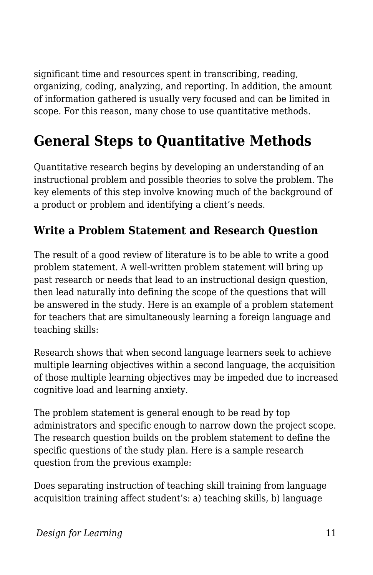significant time and resources spent in transcribing, reading, organizing, coding, analyzing, and reporting. In addition, the amount of information gathered is usually very focused and can be limited in scope. For this reason, many chose to use quantitative methods.

## **General Steps to Quantitative Methods**

Quantitative research begins by developing an understanding of an instructional problem and possible theories to solve the problem. The key elements of this step involve knowing much of the background of a product or problem and identifying a client's needs.

## **Write a Problem Statement and Research Question**

The result of a good review of literature is to be able to write a good problem statement. A well-written problem statement will bring up past research or needs that lead to an instructional design question, then lead naturally into defining the scope of the questions that will be answered in the study. Here is an example of a problem statement for teachers that are simultaneously learning a foreign language and teaching skills:

Research shows that when second language learners seek to achieve multiple learning objectives within a second language, the acquisition of those multiple learning objectives may be impeded due to increased cognitive load and learning anxiety.

The problem statement is general enough to be read by top administrators and specific enough to narrow down the project scope. The research question builds on the problem statement to define the specific questions of the study plan. Here is a sample research question from the previous example:

Does separating instruction of teaching skill training from language acquisition training affect student's: a) teaching skills, b) language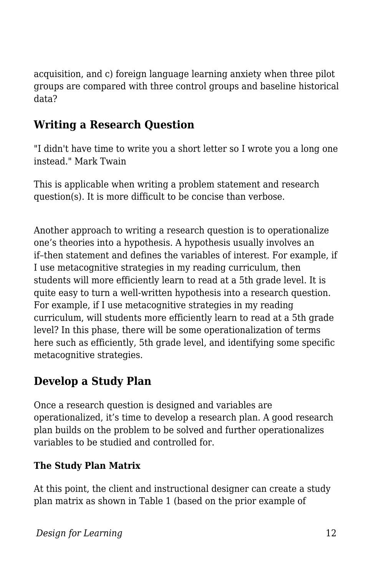acquisition, and c) foreign language learning anxiety when three pilot groups are compared with three control groups and baseline historical data?

## **Writing a Research Question**

"I didn't have time to write you a short letter so I wrote you a long one instead." Mark Twain

This is applicable when writing a problem statement and research question(s). It is more difficult to be concise than verbose.

Another approach to writing a research question is to operationalize one's theories into a hypothesis. A hypothesis usually involves an if–then statement and defines the variables of interest. For example, if I use metacognitive strategies in my reading curriculum, then students will more efficiently learn to read at a 5th grade level. It is quite easy to turn a well-written hypothesis into a research question. For example, if I use metacognitive strategies in my reading curriculum, will students more efficiently learn to read at a 5th grade level? In this phase, there will be some operationalization of terms here such as efficiently, 5th grade level, and identifying some specific metacognitive strategies.

## **Develop a Study Plan**

Once a research question is designed and variables are operationalized, it's time to develop a research plan. A good research plan builds on the problem to be solved and further operationalizes variables to be studied and controlled for.

#### **The Study Plan Matrix**

At this point, the client and instructional designer can create a study plan matrix as shown in Table 1 (based on the prior example of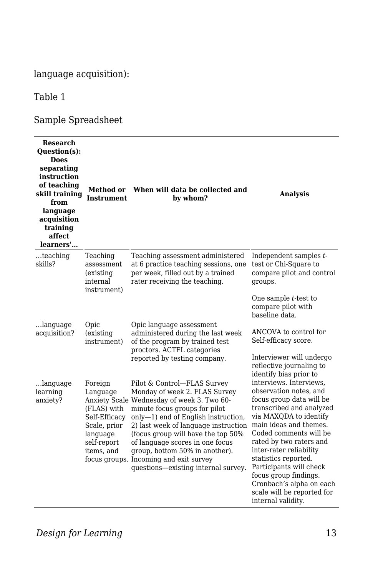#### language acquisition):

#### Table 1

#### Sample Spreadsheet

| <b>Research</b><br><b>Question(s):</b><br><b>Does</b><br>separating<br>instruction<br>of teaching<br>skill training<br>from<br>language<br>acquisition<br>training<br>affect<br>learners' | Method or<br><b>Instrument</b>                                                                               | When will data be collected and<br>by whom?                                                                                                                                                                                                                                                                                                                                                                             | <b>Analysis</b>                                                                                                                                                                                                                                                                                                                                                                                           |
|-------------------------------------------------------------------------------------------------------------------------------------------------------------------------------------------|--------------------------------------------------------------------------------------------------------------|-------------------------------------------------------------------------------------------------------------------------------------------------------------------------------------------------------------------------------------------------------------------------------------------------------------------------------------------------------------------------------------------------------------------------|-----------------------------------------------------------------------------------------------------------------------------------------------------------------------------------------------------------------------------------------------------------------------------------------------------------------------------------------------------------------------------------------------------------|
| $$ teaching<br>skills?                                                                                                                                                                    | Teaching<br>assessment<br>(existing)<br>internal<br>instrument)                                              | Teaching assessment administered<br>at 6 practice teaching sessions, one<br>per week, filled out by a trained<br>rater receiving the teaching.                                                                                                                                                                                                                                                                          | Independent samples t-<br>test or Chi-Square to<br>compare pilot and control<br>groups.                                                                                                                                                                                                                                                                                                                   |
|                                                                                                                                                                                           |                                                                                                              |                                                                                                                                                                                                                                                                                                                                                                                                                         | One sample <i>t</i> -test to<br>compare pilot with<br>baseline data.                                                                                                                                                                                                                                                                                                                                      |
| language<br>acquisition?                                                                                                                                                                  | Opic<br>(existing<br>instrument)                                                                             | Opic language assessment<br>administered during the last week<br>of the program by trained test<br>proctors. ACTFL categories<br>reported by testing company.                                                                                                                                                                                                                                                           | ANCOVA to control for<br>Self-efficacy score.                                                                                                                                                                                                                                                                                                                                                             |
|                                                                                                                                                                                           |                                                                                                              |                                                                                                                                                                                                                                                                                                                                                                                                                         | Interviewer will undergo<br>reflective journaling to<br>identify bias prior to                                                                                                                                                                                                                                                                                                                            |
| language<br>learning<br>anxiety?                                                                                                                                                          | Foreign<br>Language<br>(FLAS) with<br>Self-Efficacy<br>Scale, prior<br>language<br>self-report<br>items, and | Pilot & Control-FLAS Survey<br>Monday of week 2. FLAS Survey<br>Anxiety Scale Wednesday of week 3. Two 60-<br>minute focus groups for pilot<br>only-1) end of English instruction,<br>2) last week of language instruction<br>(focus group will have the top 50%)<br>of language scores in one focus<br>group, bottom 50% in another).<br>focus groups. Incoming and exit survey<br>questions-existing internal survey. | interviews. Interviews.<br>observation notes, and<br>focus group data will be<br>transcribed and analyzed<br>via MAXODA to identify<br>main ideas and themes.<br>Coded comments will be<br>rated by two raters and<br>inter-rater reliability<br>statistics reported.<br>Participants will check<br>focus group findings.<br>Cronbach's alpha on each<br>scale will be reported for<br>internal validity. |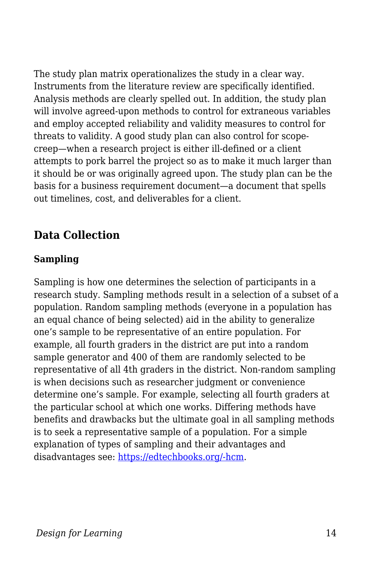The study plan matrix operationalizes the study in a clear way. Instruments from the literature review are specifically identified. Analysis methods are clearly spelled out. In addition, the study plan will involve agreed-upon methods to control for extraneous variables and employ accepted reliability and validity measures to control for threats to validity. A good study plan can also control for scopecreep—when a research project is either ill-defined or a client attempts to pork barrel the project so as to make it much larger than it should be or was originally agreed upon. The study plan can be the basis for a business requirement document—a document that spells out timelines, cost, and deliverables for a client.

### **Data Collection**

#### **Sampling**

Sampling is how one determines the selection of participants in a research study. Sampling methods result in a selection of a subset of a population. Random sampling methods (everyone in a population has an equal chance of being selected) aid in the ability to generalize one's sample to be representative of an entire population. For example, all fourth graders in the district are put into a random sample generator and 400 of them are randomly selected to be representative of all 4th graders in the district. Non-random sampling is when decisions such as researcher judgment or convenience determine one's sample. For example, selecting all fourth graders at the particular school at which one works. Differing methods have benefits and drawbacks but the ultimate goal in all sampling methods is to seek a representative sample of a population. For a simple explanation of types of sampling and their advantages and disadvantages see: [https://edtechbooks.org/-hcm](https://limbd.org/sampling-design-types-of-sampling-design-advantages-of-probability-sampling-disadvantages-of-probability-sampling/).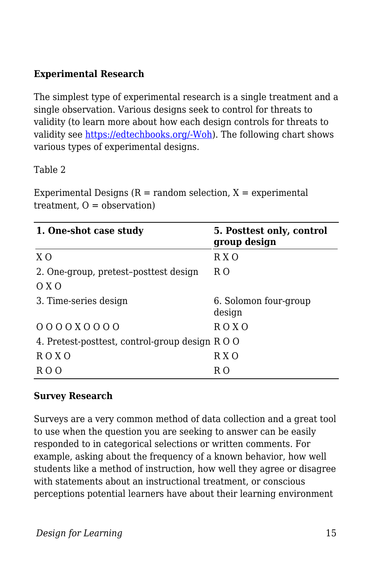#### **Experimental Research**

The simplest type of experimental research is a single treatment and a single observation. Various designs seek to control for threats to validity (to learn more about how each design controls for threats to validity see [https://edtechbooks.org/-Woh](https://bookdown.org/ripberjt/qrmbook/research-design.html)). The following chart shows various types of experimental designs.

#### Table 2

Experimental Designs  $(R = random selection, X = experimental)$ treatment,  $O =$  observation)

| 1. One-shot case study                        | 5. Posttest only, control<br>group design |  |
|-----------------------------------------------|-------------------------------------------|--|
| X <sub>O</sub>                                | R X O                                     |  |
| 2. One-group, pretest-posttest design         | R O                                       |  |
| O X O                                         |                                           |  |
| 3. Time-series design                         | 6. Solomon four-group<br>design           |  |
| $0000000000$                                  | R O X O                                   |  |
| 4. Pretest-posttest, control-group design ROO |                                           |  |
| R O X O                                       | R X O                                     |  |
| R () ()                                       | R O                                       |  |

#### **Survey Research**

Surveys are a very common method of data collection and a great tool to use when the question you are seeking to answer can be easily responded to in categorical selections or written comments. For example, asking about the frequency of a known behavior, how well students like a method of instruction, how well they agree or disagree with statements about an instructional treatment, or conscious perceptions potential learners have about their learning environment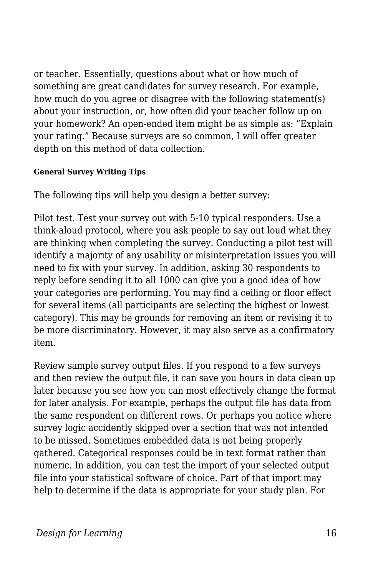or teacher. Essentially, questions about what or how much of something are great candidates for survey research. For example, how much do you agree or disagree with the following statement(s) about your instruction, or, how often did your teacher follow up on your homework? An open-ended item might be as simple as: "Explain your rating." Because surveys are so common, I will offer greater depth on this method of data collection.

#### **General Survey Writing Tips**

The following tips will help you design a better survey:

Pilot test. Test your survey out with 5-10 typical responders. Use a think-aloud protocol, where you ask people to say out loud what they are thinking when completing the survey. Conducting a pilot test will identify a majority of any usability or misinterpretation issues you will need to fix with your survey. In addition, asking 30 respondents to reply before sending it to all 1000 can give you a good idea of how your categories are performing. You may find a ceiling or floor effect for several items (all participants are selecting the highest or lowest category). This may be grounds for removing an item or revising it to be more discriminatory. However, it may also serve as a confirmatory item.

Review sample survey output files. If you respond to a few surveys and then review the output file, it can save you hours in data clean up later because you see how you can most effectively change the format for later analysis. For example, perhaps the output file has data from the same respondent on different rows. Or perhaps you notice where survey logic accidently skipped over a section that was not intended to be missed. Sometimes embedded data is not being properly gathered. Categorical responses could be in text format rather than numeric. In addition, you can test the import of your selected output file into your statistical software of choice. Part of that import may help to determine if the data is appropriate for your study plan. For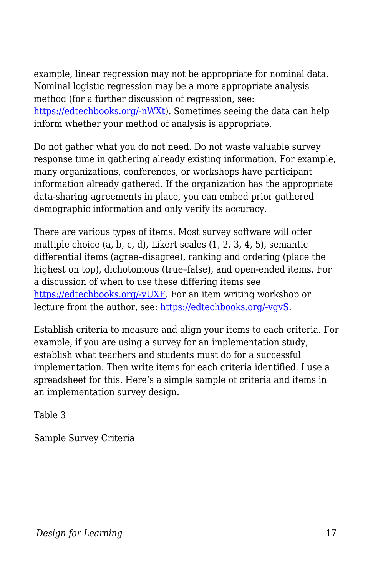example, linear regression may not be appropriate for nominal data. Nominal logistic regression may be a more appropriate analysis method (for a further discussion of regression, see: [https://edtechbooks.org/-nWXt](https://statisticsbyjim.com/regression/choosing-regression-analysis/)). Sometimes seeing the data can help inform whether your method of analysis is appropriate.

Do not gather what you do not need. Do not waste valuable survey response time in gathering already existing information. For example, many organizations, conferences, or workshops have participant information already gathered. If the organization has the appropriate data-sharing agreements in place, you can embed prior gathered demographic information and only verify its accuracy.

There are various types of items. Most survey software will offer multiple choice (a, b, c, d), Likert scales (1, 2, 3, 4, 5), semantic differential items (agree–disagree), ranking and ordering (place the highest on top), dichotomous (true–false), and open-ended items. For a discussion of when to use these differing items see [https://edtechbooks.org/-yUXF.](https://citl.illinois.edu/citl-101/measurement-evaluation/exam-scoring/improving-your-test-questions) For an item writing workshop or lecture from the author, see: [https://edtechbooks.org/-vgvS.](https://slideplayer.com/slide/4837234/)

Establish criteria to measure and align your items to each criteria. For example, if you are using a survey for an implementation study, establish what teachers and students must do for a successful implementation. Then write items for each criteria identified. I use a spreadsheet for this. Here's a simple sample of criteria and items in an implementation survey design.

Table 3

Sample Survey Criteria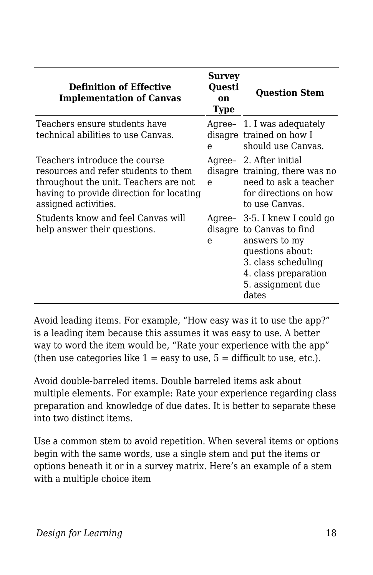| <b>Definition of Effective</b><br><b>Implementation of Canvas</b>                                                                                                                  | <b>Survey</b><br>Ouesti<br>on<br><b>Type</b> | <b>Question Stem</b>                                                                                                                                                         |
|------------------------------------------------------------------------------------------------------------------------------------------------------------------------------------|----------------------------------------------|------------------------------------------------------------------------------------------------------------------------------------------------------------------------------|
| Teachers ensure students have<br>technical abilities to use Canvas.                                                                                                                | e                                            | Agree- 1. I was adequately<br>disagre trained on how I<br>should use Canvas.                                                                                                 |
| Teachers introduce the course<br>resources and refer students to them<br>throughout the unit. Teachers are not<br>having to provide direction for locating<br>assigned activities. | $\mathbf{e}$                                 | Agree- 2. After initial<br>disagre training, there was no<br>need to ask a teacher<br>for directions on how<br>to use Canvas.                                                |
| Students know and feel Canvas will<br>help answer their questions.                                                                                                                 | e                                            | Agree- 3-5. I knew I could go<br>disagre to Canvas to find<br>answers to my<br>questions about:<br>3. class scheduling<br>4. class preparation<br>5. assignment due<br>dates |

Avoid leading items. For example, "How easy was it to use the app?" is a leading item because this assumes it was easy to use. A better way to word the item would be, "Rate your experience with the app" (then use categories like  $1 = e$ asy to use,  $5 =$  difficult to use, etc.).

Avoid double-barreled items. Double barreled items ask about multiple elements. For example: Rate your experience regarding class preparation and knowledge of due dates. It is better to separate these into two distinct items.

Use a common stem to avoid repetition. When several items or options begin with the same words, use a single stem and put the items or options beneath it or in a survey matrix. Here's an example of a stem with a multiple choice item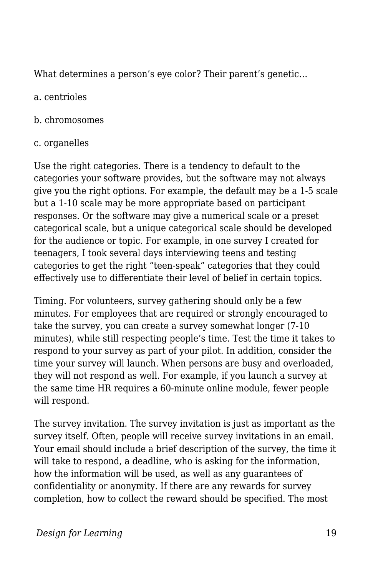What determines a person's eye color? Their parent's genetic…

#### a. centrioles

#### b. chromosomes

#### c. organelles

Use the right categories. There is a tendency to default to the categories your software provides, but the software may not always give you the right options. For example, the default may be a 1-5 scale but a 1-10 scale may be more appropriate based on participant responses. Or the software may give a numerical scale or a preset categorical scale, but a unique categorical scale should be developed for the audience or topic. For example, in one survey I created for teenagers, I took several days interviewing teens and testing categories to get the right "teen-speak" categories that they could effectively use to differentiate their level of belief in certain topics.

Timing. For volunteers, survey gathering should only be a few minutes. For employees that are required or strongly encouraged to take the survey, you can create a survey somewhat longer (7-10 minutes), while still respecting people's time. Test the time it takes to respond to your survey as part of your pilot. In addition, consider the time your survey will launch. When persons are busy and overloaded, they will not respond as well. For example, if you launch a survey at the same time HR requires a 60-minute online module, fewer people will respond.

The survey invitation. The survey invitation is just as important as the survey itself. Often, people will receive survey invitations in an email. Your email should include a brief description of the survey, the time it will take to respond, a deadline, who is asking for the information, how the information will be used, as well as any guarantees of confidentiality or anonymity. If there are any rewards for survey completion, how to collect the reward should be specified. The most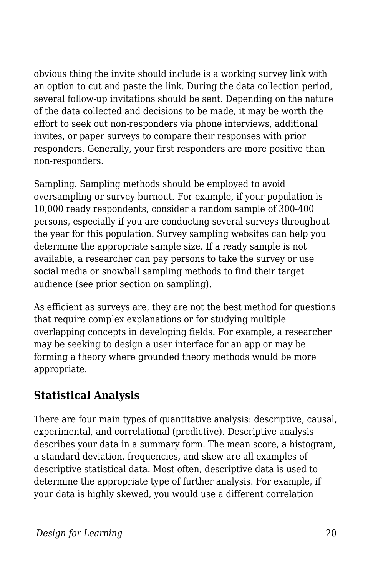obvious thing the invite should include is a working survey link with an option to cut and paste the link. During the data collection period, several follow-up invitations should be sent. Depending on the nature of the data collected and decisions to be made, it may be worth the effort to seek out non-responders via phone interviews, additional invites, or paper surveys to compare their responses with prior responders. Generally, your first responders are more positive than non-responders.

Sampling. Sampling methods should be employed to avoid oversampling or survey burnout. For example, if your population is 10,000 ready respondents, consider a random sample of 300-400 persons, especially if you are conducting several surveys throughout the year for this population. Survey sampling websites can help you determine the appropriate sample size. If a ready sample is not available, a researcher can pay persons to take the survey or use social media or snowball sampling methods to find their target audience (see prior section on sampling).

As efficient as surveys are, they are not the best method for questions that require complex explanations or for studying multiple overlapping concepts in developing fields. For example, a researcher may be seeking to design a user interface for an app or may be forming a theory where grounded theory methods would be more appropriate.

## **Statistical Analysis**

There are four main types of quantitative analysis: descriptive, causal, experimental, and correlational (predictive). Descriptive analysis describes your data in a summary form. The mean score, a histogram, a standard deviation, frequencies, and skew are all examples of descriptive statistical data. Most often, descriptive data is used to determine the appropriate type of further analysis. For example, if your data is highly skewed, you would use a different correlation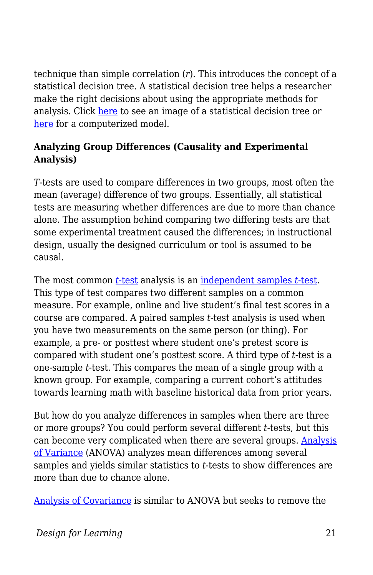technique than simple correlation (*r*). This introduces the concept of a statistical decision tree. A statistical decision tree helps a researcher make the right decisions about using the appropriate methods for analysis. Click [here](https://upload.wikimedia.org/wikipedia/commons/7/74/InferentialStatisticalDecisionMakingTrees.pdf) to see an image of a statistical decision tree or [here](https://www.microsiris.com/Statistical%20Decision%20Tree/how_many_variables.htm) for a computerized model.

#### **Analyzing Group Differences (Causality and Experimental Analysis)**

*T*-tests are used to compare differences in two groups, most often the mean (average) difference of two groups. Essentially, all statistical tests are measuring whether differences are due to more than chance alone. The assumption behind comparing two differing tests are that some experimental treatment caused the differences; in instructional design, usually the designed curriculum or tool is assumed to be causal.

The most common *[t-](https://www.youtube.com/watch?v=QZ7kgmhdIwA)*[test](https://www.youtube.com/watch?v=QZ7kgmhdIwA) analysis is an [independent samples](https://www.youtube.com/watch?v=jyoO4i8yUag) *[t](https://www.youtube.com/watch?v=jyoO4i8yUag)*[-test.](https://www.youtube.com/watch?v=jyoO4i8yUag) This type of test compares two different samples on a common measure. For example, online and live student's final test scores in a course are compared. A paired samples *t*-test analysis is used when you have two measurements on the same person (or thing). For example, a pre- or posttest where student one's pretest score is compared with student one's posttest score. A third type of *t*-test is a one-sample *t*-test. This compares the mean of a single group with a known group. For example, comparing a current cohort's attitudes towards learning math with baseline historical data from prior years.

But how do you analyze differences in samples when there are three or more groups? You could perform several different *t*-tests, but this can become very complicated when there are several groups. [Analysis](https://www.youtube.com/watch?v=oOuu8IBd-yo) [of Variance](https://www.youtube.com/watch?v=oOuu8IBd-yo) (ANOVA) analyzes mean differences among several samples and yields similar statistics to *t*-tests to show differences are more than due to chance alone.

[Analysis of Covariance](https://www.youtube.com/watch?v=QdmG6uUtB4o) is similar to ANOVA but seeks to remove the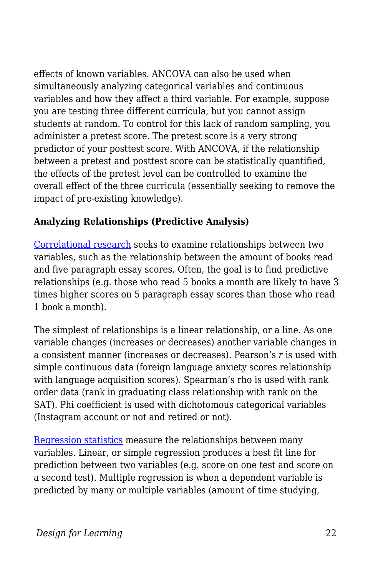effects of known variables. ANCOVA can also be used when simultaneously analyzing categorical variables and continuous variables and how they affect a third variable. For example, suppose you are testing three different curricula, but you cannot assign students at random. To control for this lack of random sampling, you administer a pretest score. The pretest score is a very strong predictor of your posttest score. With ANCOVA, if the relationship between a pretest and posttest score can be statistically quantified, the effects of the pretest level can be controlled to examine the overall effect of the three curricula (essentially seeking to remove the impact of pre-existing knowledge).

#### **Analyzing Relationships (Predictive Analysis)**

[Correlational research](https://www.youtube.com/watch?v=GtV-VYdNt_g&list=RDCMUCX6b17PVsYBQ0ip5gyeme-Q&start_radio=1&t=192) seeks to examine relationships between two variables, such as the relationship between the amount of books read and five paragraph essay scores. Often, the goal is to find predictive relationships (e.g. those who read 5 books a month are likely to have 3 times higher scores on 5 paragraph essay scores than those who read 1 book a month).

The simplest of relationships is a linear relationship, or a line. As one variable changes (increases or decreases) another variable changes in a consistent manner (increases or decreases). Pearson's *r* is used with simple continuous data (foreign language anxiety scores relationship with language acquisition scores). Spearman's rho is used with rank order data (rank in graduating class relationship with rank on the SAT). Phi coefficient is used with dichotomous categorical variables (Instagram account or not and retired or not).

[Regression statistics](https://www.youtube.com/watch?list=PLQY24HnNvqgvgpr6HH7_ZDj2j9hbGp9uE&v=WWqE7YHR4Jc) measure the relationships between many variables. Linear, or simple regression produces a best fit line for prediction between two variables (e.g. score on one test and score on a second test). Multiple regression is when a dependent variable is predicted by many or multiple variables (amount of time studying,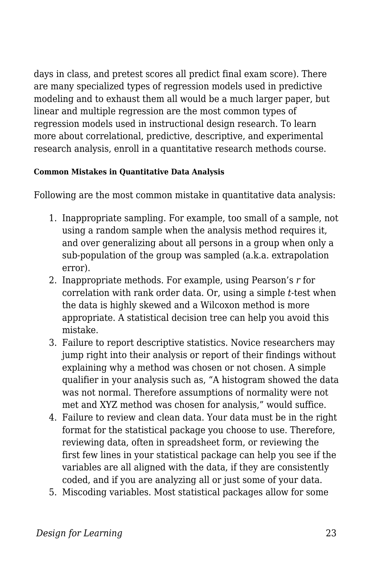days in class, and pretest scores all predict final exam score). There are many specialized types of regression models used in predictive modeling and to exhaust them all would be a much larger paper, but linear and multiple regression are the most common types of regression models used in instructional design research. To learn more about correlational, predictive, descriptive, and experimental research analysis, enroll in a quantitative research methods course.

#### **Common Mistakes in Quantitative Data Analysis**

Following are the most common mistake in quantitative data analysis:

- 1. Inappropriate sampling. For example, too small of a sample, not using a random sample when the analysis method requires it, and over generalizing about all persons in a group when only a sub-population of the group was sampled (a.k.a. extrapolation error).
- 2. Inappropriate methods. For example, using Pearson's *r* for correlation with rank order data. Or, using a simple *t*-test when the data is highly skewed and a Wilcoxon method is more appropriate. A statistical decision tree can help you avoid this mistake.
- 3. Failure to report descriptive statistics. Novice researchers may jump right into their analysis or report of their findings without explaining why a method was chosen or not chosen. A simple qualifier in your analysis such as, "A histogram showed the data was not normal. Therefore assumptions of normality were not met and XYZ method was chosen for analysis," would suffice.
- 4. Failure to review and clean data. Your data must be in the right format for the statistical package you choose to use. Therefore, reviewing data, often in spreadsheet form, or reviewing the first few lines in your statistical package can help you see if the variables are all aligned with the data, if they are consistently coded, and if you are analyzing all or just some of your data.
- 5. Miscoding variables. Most statistical packages allow for some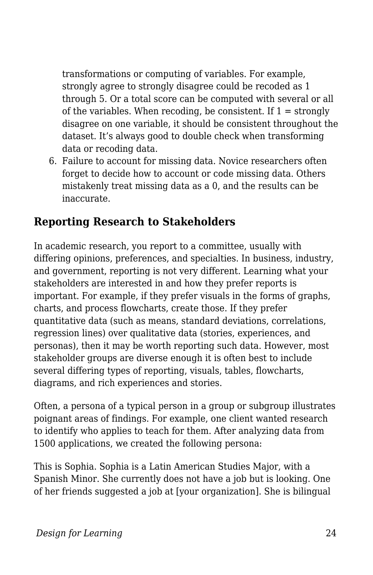transformations or computing of variables. For example, strongly agree to strongly disagree could be recoded as 1 through 5. Or a total score can be computed with several or all of the variables. When recoding, be consistent. If  $1 =$  strongly disagree on one variable, it should be consistent throughout the dataset. It's always good to double check when transforming data or recoding data.

6. Failure to account for missing data. Novice researchers often forget to decide how to account or code missing data. Others mistakenly treat missing data as a 0, and the results can be inaccurate.

### **Reporting Research to Stakeholders**

In academic research, you report to a committee, usually with differing opinions, preferences, and specialties. In business, industry, and government, reporting is not very different. Learning what your stakeholders are interested in and how they prefer reports is important. For example, if they prefer visuals in the forms of graphs, charts, and process flowcharts, create those. If they prefer quantitative data (such as means, standard deviations, correlations, regression lines) over qualitative data (stories, experiences, and personas), then it may be worth reporting such data. However, most stakeholder groups are diverse enough it is often best to include several differing types of reporting, visuals, tables, flowcharts, diagrams, and rich experiences and stories.

Often, a persona of a typical person in a group or subgroup illustrates poignant areas of findings. For example, one client wanted research to identify who applies to teach for them. After analyzing data from 1500 applications, we created the following persona:

This is Sophia. Sophia is a Latin American Studies Major, with a Spanish Minor. She currently does not have a job but is looking. One of her friends suggested a job at [your organization]. She is bilingual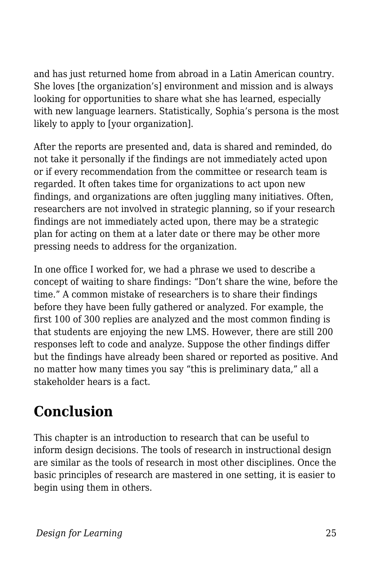and has just returned home from abroad in a Latin American country. She loves [the organization's] environment and mission and is always looking for opportunities to share what she has learned, especially with new language learners. Statistically, Sophia's persona is the most likely to apply to [your organization].

After the reports are presented and, data is shared and reminded, do not take it personally if the findings are not immediately acted upon or if every recommendation from the committee or research team is regarded. It often takes time for organizations to act upon new findings, and organizations are often juggling many initiatives. Often, researchers are not involved in strategic planning, so if your research findings are not immediately acted upon, there may be a strategic plan for acting on them at a later date or there may be other more pressing needs to address for the organization.

In one office I worked for, we had a phrase we used to describe a concept of waiting to share findings: "Don't share the wine, before the time." A common mistake of researchers is to share their findings before they have been fully gathered or analyzed. For example, the first 100 of 300 replies are analyzed and the most common finding is that students are enjoying the new LMS. However, there are still 200 responses left to code and analyze. Suppose the other findings differ but the findings have already been shared or reported as positive. And no matter how many times you say "this is preliminary data," all a stakeholder hears is a fact.

## **Conclusion**

This chapter is an introduction to research that can be useful to inform design decisions. The tools of research in instructional design are similar as the tools of research in most other disciplines. Once the basic principles of research are mastered in one setting, it is easier to begin using them in others.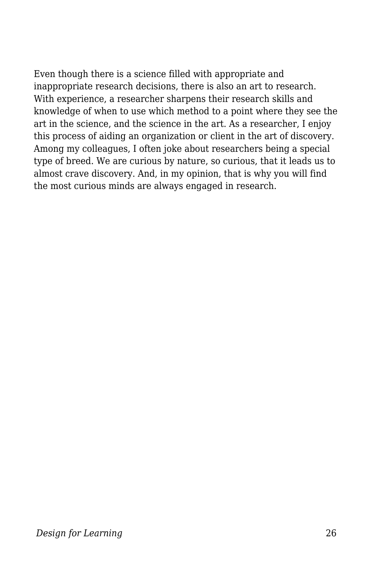Even though there is a science filled with appropriate and inappropriate research decisions, there is also an art to research. With experience, a researcher sharpens their research skills and knowledge of when to use which method to a point where they see the art in the science, and the science in the art. As a researcher, I enjoy this process of aiding an organization or client in the art of discovery. Among my colleagues, I often joke about researchers being a special type of breed. We are curious by nature, so curious, that it leads us to almost crave discovery. And, in my opinion, that is why you will find the most curious minds are always engaged in research.